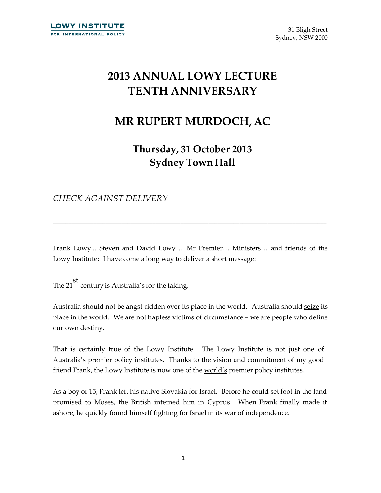## **2013 ANNUAL LOWY LECTURE TENTH ANNIVERSARY**

## **MR RUPERT MURDOCH, AC**

**Thursday, 31 October 2013 Sydney Town Hall**

*CHECK AGAINST DELIVERY*

Frank Lowy... Steven and David Lowy ... Mr Premier… Ministers… and friends of the Lowy Institute: I have come a long way to deliver a short message:

\_\_\_\_\_\_\_\_\_\_\_\_\_\_\_\_\_\_\_\_\_\_\_\_\_\_\_\_\_\_\_\_\_\_\_\_\_\_\_\_\_\_\_\_\_\_\_\_\_\_\_\_\_\_\_\_\_\_\_\_\_\_\_\_\_\_\_\_\_\_\_\_\_\_\_\_\_\_\_\_\_\_\_\_\_\_\_\_

The 21 st century is Australia's for the taking.

Australia should not be angst-ridden over its place in the world. Australia should seize its place in the world. We are not hapless victims of circumstance – we are people who define our own destiny.

That is certainly true of the Lowy Institute. The Lowy Institute is not just one of Australia's premier policy institutes. Thanks to the vision and commitment of my good friend Frank, the Lowy Institute is now one of the world's premier policy institutes.

As a boy of 15, Frank left his native Slovakia for Israel. Before he could set foot in the land promised to Moses, the British interned him in Cyprus. When Frank finally made it ashore, he quickly found himself fighting for Israel in its war of independence.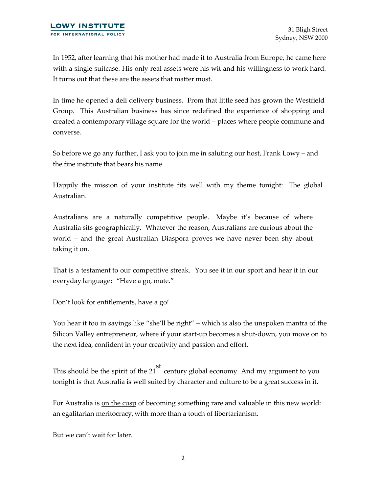In 1952, after learning that his mother had made it to Australia from Europe, he came here with a single suitcase. His only real assets were his wit and his willingness to work hard. It turns out that these are the assets that matter most.

In time he opened a deli delivery business. From that little seed has grown the Westfield Group. This Australian business has since redefined the experience of shopping and created a contemporary village square for the world – places where people commune and converse.

So before we go any further, I ask you to join me in saluting our host, Frank Lowy – and the fine institute that bears his name.

Happily the mission of your institute fits well with my theme tonight: The global Australian.

Australians are a naturally competitive people. Maybe it's because of where Australia sits geographically. Whatever the reason, Australians are curious about the world – and the great Australian Diaspora proves we have never been shy about taking it on.

That is a testament to our competitive streak. You see it in our sport and hear it in our everyday language: "Have a go, mate."

Don't look for entitlements, have a go!

You hear it too in sayings like "she'll be right" – which is also the unspoken mantra of the Silicon Valley entrepreneur, where if your start-up becomes a shut-down, you move on to the next idea, confident in your creativity and passion and effort.

This should be the spirit of the 21 st century global economy. And my argument to you tonight is that Australia is well suited by character and culture to be a great success in it.

For Australia is on the cusp of becoming something rare and valuable in this new world: an egalitarian meritocracy, with more than a touch of libertarianism.

But we can't wait for later.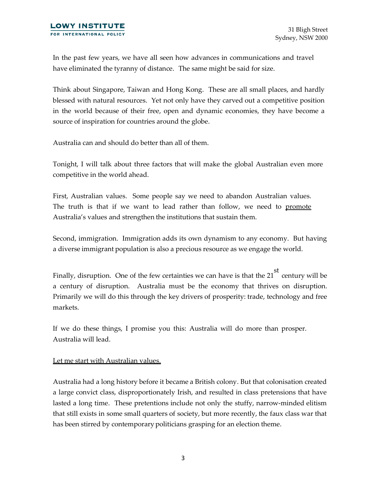In the past few years, we have all seen how advances in communications and travel have eliminated the tyranny of distance. The same might be said for size.

Think about Singapore, Taiwan and Hong Kong. These are all small places, and hardly blessed with natural resources. Yet not only have they carved out a competitive position in the world because of their free, open and dynamic economies, they have become a source of inspiration for countries around the globe.

Australia can and should do better than all of them.

Tonight, I will talk about three factors that will make the global Australian even more competitive in the world ahead.

First, Australian values. Some people say we need to abandon Australian values. The truth is that if we want to lead rather than follow, we need to promote Australia's values and strengthen the institutions that sustain them.

Second, immigration. Immigration adds its own dynamism to any economy. But having a diverse immigrant population is also a precious resource as we engage the world.

Finally, disruption. One of the few certainties we can have is that the 21 st century will be a century of disruption. Australia must be the economy that thrives on disruption. Primarily we will do this through the key drivers of prosperity: trade, technology and free markets.

If we do these things, I promise you this: Australia will do more than prosper. Australia will lead.

## Let me start with Australian values.

Australia had a long history before it became a British colony. But that colonisation created a large convict class, disproportionately Irish, and resulted in class pretensions that have lasted a long time. These pretentions include not only the stuffy, narrow-minded elitism that still exists in some small quarters of society, but more recently, the faux class war that has been stirred by contemporary politicians grasping for an election theme.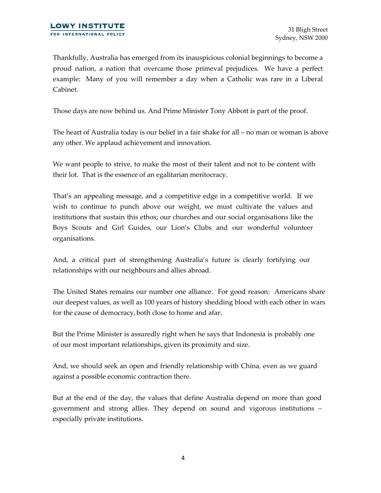Thankfully, Australia has emerged from its inauspicious colonial beginnings to become a proud nation, a nation that overcame those primeval prejudices. We have a perfect example: Many of you will remember a day when a Catholic was rare in a Liberal Cabinet.

Those days are now behind us. And Prime Minister Tony Abbott is part of the proof.

The heart of Australia today is our belief in a fair shake for all – no man or woman is above any other. We applaud achievement and innovation.

We want people to strive, to make the most of their talent and not to be content with their lot. That is the essence of an egalitarian meritocracy.

That's an appealing message, and a competitive edge in a competitive world. If we wish to continue to punch above our weight, we must cultivate the values and institutions that sustain this ethos; our churches and our social organisations like the Boys Scouts and Girl Guides, our Lion's Clubs and our wonderful volunteer organisations.

And, a critical part of strengthening Australia's future is clearly fortifying our relationships with our neighbours and allies abroad.

The United States remains our number one alliance. For good reason: Americans share our deepest values, as well as 100 years of history shedding blood with each other in wars for the cause of democracy, both close to home and afar.

But the Prime Minister is assuredly right when he says that Indonesia is probably one of our most important relationships, given its proximity and size.

And, we should seek an open and friendly relationship with China*,* even as we guard against a possible economic contraction there.

But at the end of the day, the values that define Australia depend on more than good government and strong allies. They depend on sound and vigorous institutions – especially private institutions.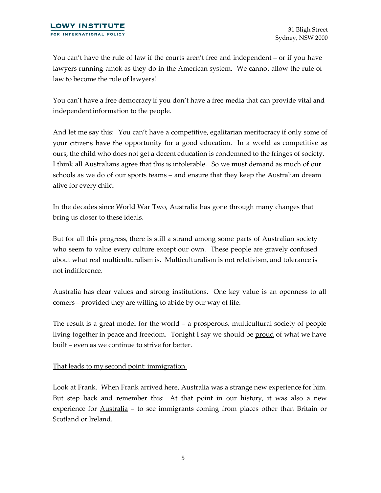You can't have the rule of law if the courts aren't free and independent – or if you have lawyers running amok as they do in the American system. We cannot allow the rule of law to become the rule of lawyers!

You can't have a free democracy if you don't have a free media that can provide vital and independent information to the people.

And let me say this: You can't have a competitive, egalitarian meritocracy if only some of your citizens have the opportunity for a good education. In a world as competitive as ours, the child who does not get a decent education is condemned to the fringes of society. I think all Australians agree that this is intolerable. So we must demand as much of our schools as we do of our sports teams – and ensure that they keep the Australian dream alive for every child.

In the decades since World War Two, Australia has gone through many changes that bring us closer to these ideals.

But for all this progress, there is still a strand among some parts of Australian society who seem to value every culture except our own. These people are gravely confused about what real multiculturalism is. Multiculturalism is not relativism, and tolerance is not indifference.

Australia has clear values and strong institutions. One key value is an openness to all comers – provided they are willing to abide by our way of life.

The result is a great model for the world – a prosperous, multicultural society of people living together in peace and freedom. Tonight I say we should be <u>proud</u> of what we have built – even as we continue to strive for better.

## That leads to my second point: immigration.

Look at Frank. When Frank arrived here, Australia was a strange new experience for him. But step back and remember this: At that point in our history, it was also a new experience for Australia – to see immigrants coming from places other than Britain or Scotland or Ireland.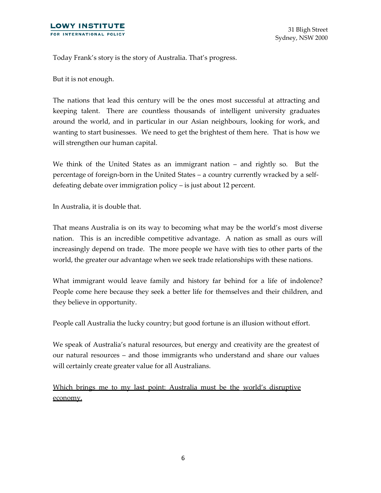Today Frank's story is the story of Australia. That's progress.

But it is not enough.

The nations that lead this century will be the ones most successful at attracting and keeping talent. There are countless thousands of intelligent university graduates around the world, and in particular in our Asian neighbours, looking for work, and wanting to start businesses. We need to get the brightest of them here. That is how we will strengthen our human capital.

We think of the United States as an immigrant nation – and rightly so. But the percentage of foreign-born in the United States – a country currently wracked by a selfdefeating debate over immigration policy – is just about 12 percent.

In Australia, it is double that.

That means Australia is on its way to becoming what may be the world's most diverse nation. This is an incredible competitive advantage. A nation as small as ours will increasingly depend on trade. The more people we have with ties to other parts of the world, the greater our advantage when we seek trade relationships with these nations.

What immigrant would leave family and history far behind for a life of indolence? People come here because they seek a better life for themselves and their children, and they believe in opportunity.

People call Australia the lucky country; but good fortune is an illusion without effort.

We speak of Australia's natural resources, but energy and creativity are the greatest of our natural resources – and those immigrants who understand and share our values will certainly create greater value for all Australians.

Which brings me to my last point: Australia must be the world's disruptive economy.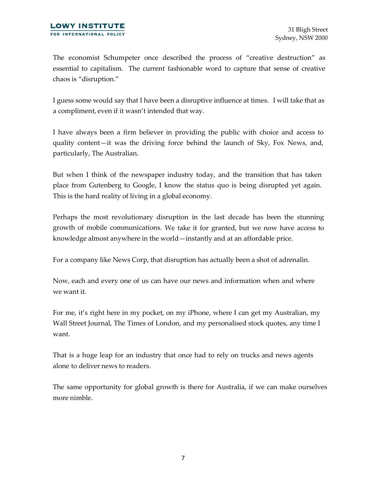The economist Schumpeter once described the process of "creative destruction" as essential to capitalism. The current fashionable word to capture that sense of creative chaos is "disruption."

I guess some would say that I have been a disruptive influence at times. I will take that as a compliment, even if it wasn't intended that way.

I have always been a firm believer in providing the public with choice and access to quality content—it was the driving force behind the launch of Sky, Fox News, and, particularly, The Australian.

But when I think of the newspaper industry today, and the transition that has taken place from Gutenberg to Google, I know the status quo is being disrupted yet again. This is the hard reality of living in a global economy.

Perhaps the most revolutionary disruption in the last decade has been the stunning growth of mobile communications. We take it for granted, but we now have access to knowledge almost anywhere in the world—instantly and at an affordable price.

For a company like News Corp, that disruption has actually been a shot of adrenalin.

Now, each and every one of us can have our news and information when and where we want it.

For me, it's right here in my pocket, on my iPhone, where I can get my Australian, my Wall Street Journal, The Times of London, and my personalised stock quotes, any time I want.

That is a huge leap for an industry that once had to rely on trucks and news agents alone to deliver news to readers.

The same opportunity for global growth is there for Australia, if we can make ourselves more nimble.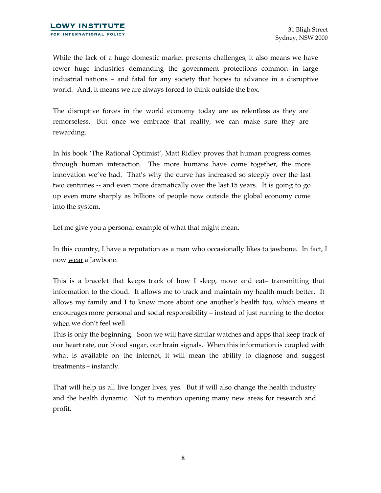While the lack of a huge domestic market presents challenges, it also means we have fewer huge industries demanding the government protections common in large industrial nations – and fatal for any society that hopes to advance in a disruptive world. And, it means we are always forced to think outside the box.

The disruptive forces in the world economy today are as relentless as they are remorseless. But once we embrace that reality, we can make sure they are rewarding.

In his book 'The Rational Optimist', Matt Ridley proves that human progress comes through human interaction. The more humans have come together, the more innovation we've had. That's why the curve has increased so steeply over the last two centuries -- and even more dramatically over the last 15 years. It is going to go up even more sharply as billions of people now outside the global economy come into the system.

Let me give you a personal example of what that might mean.

In this country, I have a reputation as a man who occasionally likes to jawbone. In fact, I now wear a Jawbone.

This is a bracelet that keeps track of how I sleep, move and eat– transmitting that information to the cloud. It allows me to track and maintain my health much better. It allows my family and I to know more about one another's health too, which means it encourages more personal and social responsibility – instead of just running to the doctor when we don't feel well.

This is only the beginning. Soon we will have similar watches and apps that keep track of our heart rate, our blood sugar, our brain signals. When this information is coupled with what is available on the internet, it will mean the ability to diagnose and suggest treatments – instantly.

That will help us all live longer lives, yes. But it will also change the health industry and the health dynamic. Not to mention opening many new areas for research and profit.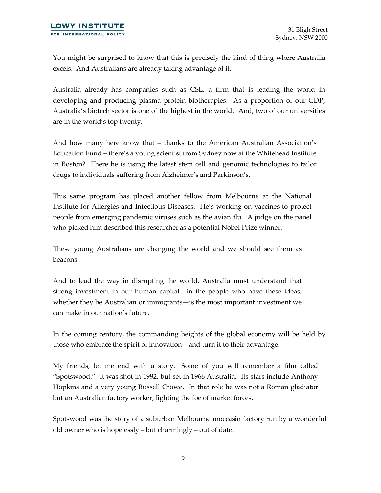You might be surprised to know that this is precisely the kind of thing where Australia excels. And Australians are already taking advantage of it.

Australia already has companies such as CSL, a firm that is leading the world in developing and producing plasma protein biotherapies. As a proportion of our GDP, Australia's biotech sector is one of the highest in the world. And, two of our universities are in the world's top twenty.

And how many here know that – thanks to the American Australian Association's Education Fund – there's a young scientist from Sydney now at the Whitehead Institute in Boston? There he is using the latest stem cell and genomic technologies to tailor drugs to individuals suffering from Alzheimer's and Parkinson's.

This same program has placed another fellow from Melbourne at the National Institute for Allergies and Infectious Diseases. He's working on vaccines to protect people from emerging pandemic viruses such as the avian flu. A judge on the panel who picked him described this researcher as a potential Nobel Prize winner.

These young Australians are changing the world and we should see them as beacons.

And to lead the way in disrupting the world, Australia must understand that strong investment in our human capital—in the people who have these ideas, whether they be Australian or immigrants—is the most important investment we can make in our nation's future.

In the coming century, the commanding heights of the global economy will be held by those who embrace the spirit of innovation – and turn it to their advantage.

My friends, let me end with a story. Some of you will remember a film called "Spotswood." It was shot in 1992, but set in 1966 Australia. Its stars include Anthony Hopkins and a very young Russell Crowe. In that role he was not a Roman gladiator but an Australian factory worker, fighting the foe of market forces.

Spotswood was the story of a suburban Melbourne moccasin factory run by a wonderful old owner who is hopelessly – but charmingly – out of date.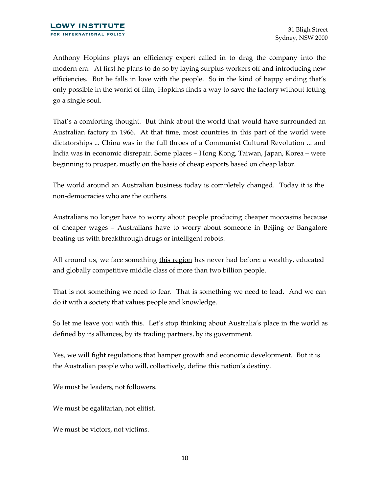Anthony Hopkins plays an efficiency expert called in to drag the company into the modern era. At first he plans to do so by laying surplus workers off and introducing new efficiencies. But he falls in love with the people. So in the kind of happy ending that's only possible in the world of film, Hopkins finds a way to save the factory without letting go a single soul.

That's a comforting thought. But think about the world that would have surrounded an Australian factory in 1966. At that time, most countries in this part of the world were dictatorships ... China was in the full throes of a Communist Cultural Revolution ... and India was in economic disrepair. Some places – Hong Kong, Taiwan, Japan, Korea – were beginning to prosper, mostly on the basis of cheap exports based on cheap labor.

The world around an Australian business today is completely changed. Today it is the non-democracies who are the outliers.

Australians no longer have to worry about people producing cheaper moccasins because of cheaper wages – Australians have to worry about someone in Beijing or Bangalore beating us with breakthrough drugs or intelligent robots.

All around us, we face something this region has never had before: a wealthy, educated and globally competitive middle class of more than two billion people.

That is not something we need to fear. That is something we need to lead. And we can do it with a society that values people and knowledge.

So let me leave you with this. Let's stop thinking about Australia's place in the world as defined by its alliances, by its trading partners, by its government.

Yes, we will fight regulations that hamper growth and economic development. But it is the Australian people who will, collectively, define this nation's destiny.

We must be leaders, not followers.

We must be egalitarian, not elitist.

We must be victors, not victims.